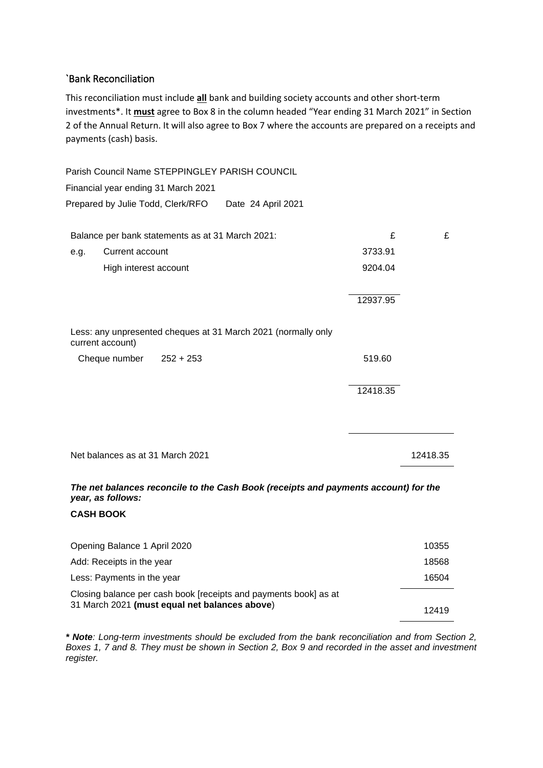#### `Bank Reconciliation

This reconciliation must include **all** bank and building society accounts and other short-term investments\*. It **must** agree to Box 8 in the column headed "Year ending 31 March 2021" in Section 2 of the Annual Return. It will also agree to Box 7 where the accounts are prepared on a receipts and payments (cash) basis.

Parish Council Name STEPPINGLEY PARISH COUNCIL Financial year ending 31 March 2021 Prepared by Julie Todd, Clerk/RFO Date 24 April 2021 Balance per bank statements as at 31 March 2021:  $\qquad \qquad \qquad \text{£} \qquad \qquad \text{£}$ e.g. Current account 3733.91 High interest account 9204.04 12937.95 Less: any unpresented cheques at 31 March 2021 (normally only current account) Cheque number 252 + 253 519.60 12418.35 Net balances as at 31 March 2021 12418.35 *The net balances reconcile to the Cash Book (receipts and payments account) for the year, as follows:*  **CASH BOOK** Opening Balance 1 April 2020 10355

| Add: Receipts in the year |                                                                  | 18568 |  |
|---------------------------|------------------------------------------------------------------|-------|--|
|                           | Less: Payments in the year                                       | 16504 |  |
|                           | Closing balance per cash book [receipts and payments book] as at |       |  |
|                           | 31 March 2021 (must equal net balances above)                    | 12419 |  |

*\* Note: Long-term investments should be excluded from the bank reconciliation and from Section 2, Boxes 1, 7 and 8. They must be shown in Section 2, Box 9 and recorded in the asset and investment register.*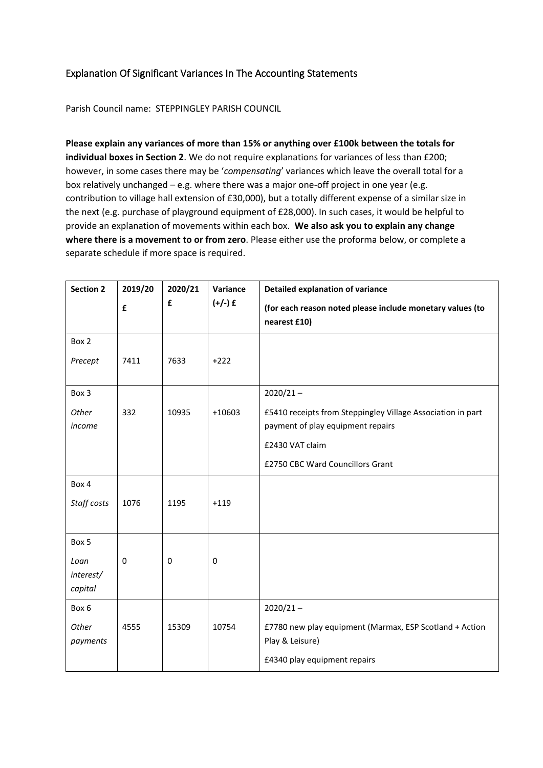### Explanation Of Significant Variances In The Accounting Statements

Parish Council name: STEPPINGLEY PARISH COUNCIL

**Please explain any variances of more than 15% or anything over £100k between the totals for individual boxes in Section 2**. We do not require explanations for variances of less than £200; however, in some cases there may be '*compensating*' variances which leave the overall total for a box relatively unchanged – e.g. where there was a major one-off project in one year (e.g. contribution to village hall extension of £30,000), but a totally different expense of a similar size in the next (e.g. purchase of playground equipment of £28,000). In such cases, it would be helpful to provide an explanation of movements within each box. **We also ask you to explain any change where there is a movement to or from zero**. Please either use the proforma below, or complete a separate schedule if more space is required.

| <b>Section 2</b>             | 2019/20<br>£ | 2020/21<br>£ | Variance<br>$(+/-)$ £ | <b>Detailed explanation of variance</b>                                                                    |  |
|------------------------------|--------------|--------------|-----------------------|------------------------------------------------------------------------------------------------------------|--|
|                              |              |              |                       | (for each reason noted please include monetary values (to<br>nearest £10)                                  |  |
| Box 2                        |              |              |                       |                                                                                                            |  |
| Precept                      | 7411         | 7633         | $+222$                |                                                                                                            |  |
| Box 3                        |              |              |                       | $2020/21 -$                                                                                                |  |
| Other<br>income              | 332          | 10935        | $+10603$              | £5410 receipts from Steppingley Village Association in part<br>payment of play equipment repairs           |  |
|                              |              |              |                       | £2430 VAT claim                                                                                            |  |
|                              |              |              |                       | £2750 CBC Ward Councillors Grant                                                                           |  |
| Box 4                        |              |              |                       |                                                                                                            |  |
| Staff costs                  | 1076         | 1195         | $+119$                |                                                                                                            |  |
| Box 5                        |              |              |                       |                                                                                                            |  |
| Loan<br>interest/<br>capital | $\mathbf 0$  | 0            | $\mathbf 0$           |                                                                                                            |  |
| Box 6                        |              |              |                       | $2020/21 -$                                                                                                |  |
| Other<br>payments            | 4555         | 15309        | 10754                 | £7780 new play equipment (Marmax, ESP Scotland + Action<br>Play & Leisure)<br>£4340 play equipment repairs |  |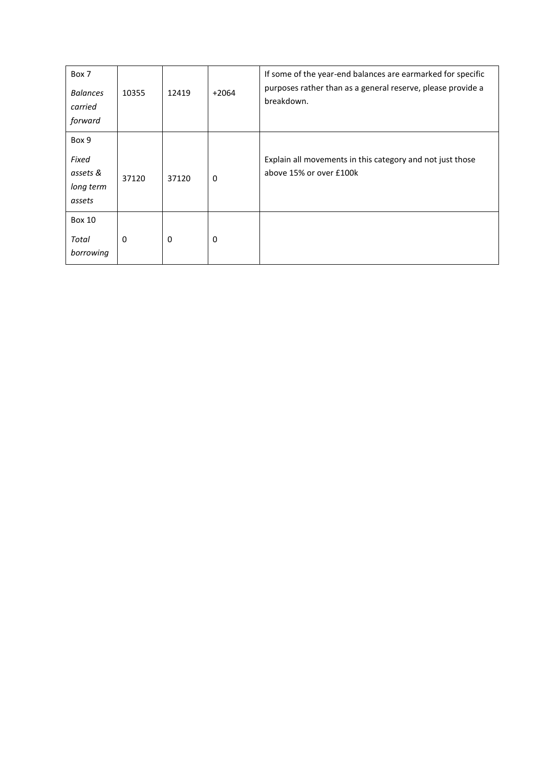| Box 7<br><b>Balances</b><br>carried<br>forward    | 10355 | 12419 | $+2064$ | If some of the year-end balances are earmarked for specific<br>purposes rather than as a general reserve, please provide a<br>breakdown. |
|---------------------------------------------------|-------|-------|---------|------------------------------------------------------------------------------------------------------------------------------------------|
| Box 9<br>Fixed<br>assets &<br>long term<br>assets | 37120 | 37120 | 0       | Explain all movements in this category and not just those<br>above 15% or over £100k                                                     |
| <b>Box 10</b><br>Total<br>borrowing               | 0     | 0     | 0       |                                                                                                                                          |